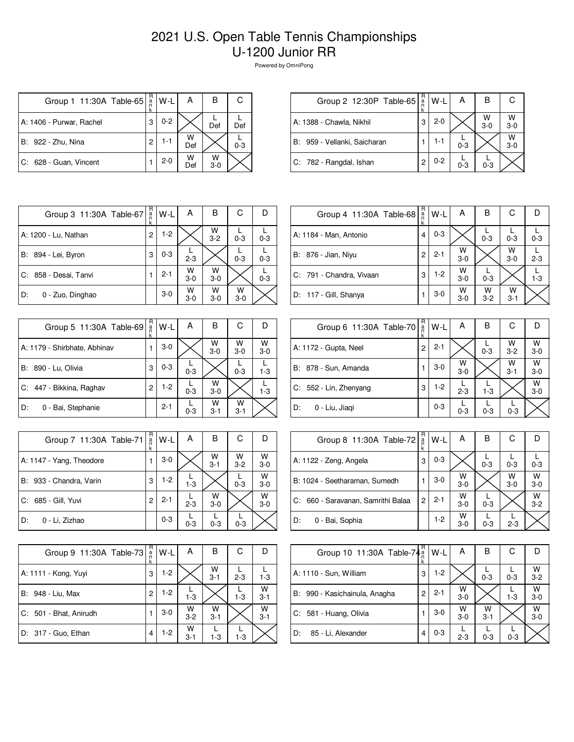## 2021 U.S. Open Table Tennis Championships U-1200 Junior RR

Powered by OmniPong

| Group 1 11:30A Table-65  | $_{\rm a}^{\rm R}$ | $W-L$   | А        | в          | С       |
|--------------------------|--------------------|---------|----------|------------|---------|
| A: 1406 - Purwar, Rachel | 3                  | $0 - 2$ |          | Def        | Def     |
| B: 922 - Zhu, Nina       | 2                  | $1 - 1$ | W<br>Def |            | $0 - 3$ |
| C: 628 - Guan, Vincent   |                    | $2 - 0$ | W<br>Def | W<br>$3-0$ |         |

| Group 2 12:30P Table-65      | $R_{n}$ | W-L     | А       | в            |                    |
|------------------------------|---------|---------|---------|--------------|--------------------|
| A: 1388 - Chawla, Nikhil     | 3       | $2 - 0$ |         | W<br>$3 - 0$ | $W$ <sub>3-0</sub> |
| B: 959 - Vellanki, Saicharan |         | 1-1     | $0 - 3$ |              | W<br>$3 - 0$       |
| C: 782 - Rangdal, Ishan      | 2       | $0 - 2$ | $0 - 3$ | $0 - 3$      |                    |

| Group 3 11:30A Table-67 | R<br>a<br>k    | W-L     | А            | B            | С          | D       |
|-------------------------|----------------|---------|--------------|--------------|------------|---------|
| A: 1200 - Lu, Nathan    | $\overline{c}$ | $1-2$   |              | W<br>$3 - 2$ | $0 - 3$    | $0 - 3$ |
| B: 894 - Lei, Byron     | 3              | $0 - 3$ | $2 - 3$      |              | $0 - 3$    | $0 - 3$ |
| C: 858 - Desai, Tanvi   |                | $2 - 1$ | W<br>$3 - 0$ | W<br>$3-0$   |            | $0 - 3$ |
| D:<br>0 - Zuo, Dinghao  |                | $3-0$   | W<br>$3-0$   | w<br>$3-0$   | W<br>$3-0$ |         |

| Group 5 11:30A Table-69      | R<br>ä<br>k    | W-L     | А       | В            | С            |              |
|------------------------------|----------------|---------|---------|--------------|--------------|--------------|
| A: 1179 - Shirbhate, Abhinav |                | $3-0$   |         | W<br>$3-0$   | W<br>$3-0$   | W<br>$3 - 0$ |
| B: 890 - Lu, Olivia          | 3              | $0 - 3$ | $0 - 3$ |              | $0 - 3$      | $1 - 3$      |
| C: 447 - Bikkina, Raghav     | $\overline{c}$ | $1-2$   | $0 - 3$ | W<br>$3-0$   |              | $1 - 3$      |
| D:<br>0 - Bai, Stephanie     |                | $2 - 1$ | $0 - 3$ | W<br>$3 - 1$ | W<br>$3 - 1$ |              |

| Group 7 11:30A Table-71  | R<br>$\frac{a}{n}$<br>k | W-L     | А       | в          | С                  |                    |
|--------------------------|-------------------------|---------|---------|------------|--------------------|--------------------|
| A: 1147 - Yang, Theodore |                         | $3-0$   |         | W<br>$3-1$ | $W$ <sub>3-2</sub> | $W$ <sub>3-0</sub> |
| B: 933 - Chandra, Varin  | 3                       | $1-2$   | $1 - 3$ |            | $0 - 3$            | W<br>$3-0$         |
| C: 685 - Gill, Yuvi      | 2                       | $2 - 1$ | $2 - 3$ | W<br>$3-0$ |                    | W<br>$3-0$         |
| 0 - Li, Zizhao<br>D:     |                         | $0 - 3$ | $0 - 3$ | $0 - 3$    | $0 - 3$            |                    |

| Group 9 11:30A Table-73 | R<br>$\frac{a}{n}$<br>k | W-L     | А            | в            | С       |              |
|-------------------------|-------------------------|---------|--------------|--------------|---------|--------------|
| A: 1111 - Kong, Yuyi    | 3                       | $1 - 2$ |              | W<br>$3 - 1$ | $2 - 3$ | $1 - 3$      |
| B: 948 - Liu, Max       | 2                       | $1-2$   | $1 - 3$      |              | $1 - 3$ | W<br>$3 - 1$ |
| C: 501 - Bhat, Anirudh  |                         | $3-0$   | W<br>$3 - 2$ | W<br>$3 - 1$ |         | W<br>$3 - 1$ |
| D: 317 - Guo, Ethan     | 4                       | $1-2$   | W<br>$3 - 1$ | $1 - 3$      | $1-3$   |              |

| Group 4 11:30A Table-68  | R<br>a<br>k | W-L     | A            | В          | C            |         |
|--------------------------|-------------|---------|--------------|------------|--------------|---------|
| A: 1184 - Man, Antonio   | 4           | $0 - 3$ |              | $0 - 3$    | $0 - 3$      | $0 - 3$ |
| B: 876 - Jian, Niyu      | 2           | $2 - 1$ | W<br>$3-0$   |            | W<br>$3-0$   | $2 - 3$ |
| C: 791 - Chandra, Vivaan | 3           | $1-2$   | W<br>$3 - 0$ | $0 - 3$    |              | $1 - 3$ |
| D: 117 - Gill, Shanya    |             | $3-0$   | W<br>$3-0$   | W<br>$3-2$ | W<br>$3 - 1$ |         |

| Group 6 11:30A Table-70 | R<br>$\frac{a}{n}$ | W-L     | А            | в       | С                  |              |
|-------------------------|--------------------|---------|--------------|---------|--------------------|--------------|
| A: 1172 - Gupta, Neel   | 2                  | $2 - 1$ |              | $0 - 3$ | $W$ <sub>3-2</sub> | $W$<br>3-0   |
| B: 878 - Sun, Amanda    |                    | $3 - 0$ | W<br>$3 - 0$ |         | w<br>$3 - 1$       | W<br>$3-0$   |
| C: 552 - Lin, Zhenyang  | 3                  | 1-2     | $2 - 3$      | $1 - 3$ |                    | W<br>$3 - 0$ |
| D:<br>0 - Liu, Jiaqi    |                    | $0 - 3$ | $0 - 3$      | $0 - 3$ | $0 - 3$            |              |

| Group 8 11:30A Table-72            | R<br>$\frac{a}{n}$ | W-L     | Α          | в       | С          |              |
|------------------------------------|--------------------|---------|------------|---------|------------|--------------|
| A: 1122 - Zeng, Angela             | 3                  | $0 - 3$ |            | $0 - 3$ | $0 - 3$    | $0 - 3$      |
| B: 1024 - Seetharaman, Sumedh      |                    | $3-0$   | W<br>$3-0$ |         | W<br>$3-0$ | W<br>$3-0$   |
| C: 660 - Saravanan, Samrithi Balaa | 2                  | $2 - 1$ | W<br>$3-0$ | $0 - 3$ |            | W<br>$3 - 2$ |
| D:<br>0 - Bai, Sophia              |                    | 1-2     | W<br>$3-0$ | $0 - 3$ | $2 - 3$    |              |

| Group 10 11:30A Table-74 <sup>a</sup> | R<br>k | W-L     | А          | в            | С       |              |
|---------------------------------------|--------|---------|------------|--------------|---------|--------------|
| A: 1110 - Sun, William                | 3      | $1-2$   |            | $0 - 3$      | $0 - 3$ | W<br>$3 - 2$ |
| B: 990 - Kasichainula, Anagha         | 2      | $2 - 1$ | W<br>$3-0$ |              | $1 - 3$ | w<br>$3 - 0$ |
| C: 581 - Huang, Olivia                |        | $3-0$   | W<br>$3-0$ | W<br>$3 - 1$ |         | W<br>$3 - 0$ |
| D:<br>85 - Li, Alexander              | 4      | $0 - 3$ | $2 - 3$    | $0 - 3$      | $0 - 3$ |              |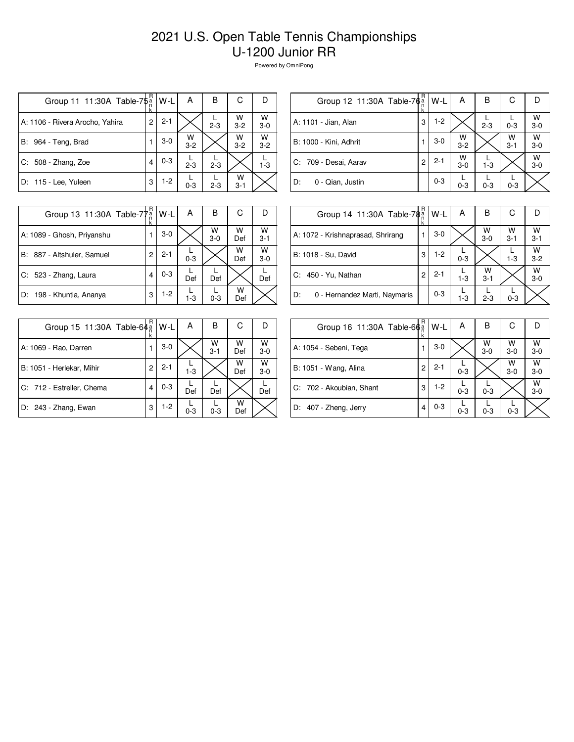## 2021 U.S. Open Table Tennis Championships U-1200 Junior RR

Powered by OmniPong

| Group 11 11:30A Table-7\$ <sup>a</sup> | R.<br>k | W-L     | Α            | в       | С            |            |
|----------------------------------------|---------|---------|--------------|---------|--------------|------------|
| A: 1106 - Rivera Arocho, Yahira        | 2       | $2 - 1$ |              | $2 - 3$ | W<br>$3 - 2$ | W<br>$3-0$ |
| B:<br>964 - Teng, Brad                 |         | $3-0$   | w<br>$3 - 2$ |         | W<br>$3 - 2$ | W<br>$3-2$ |
| $C: 508 - Zhang, Zoe$                  | 4       | $0 - 3$ | $2 - 3$      | $2 - 3$ |              | $1 - 3$    |
| D: 115 - Lee, Yuleen                   | 3       | $1-2$   | $0 - 3$      | $2 - 3$ | W<br>$3 - 1$ |            |

| R<br>в<br>С<br>$W-L$<br>А<br>Group 12 11:30A Table-76 <sup>a</sup><br>$W$ <sub>3-0</sub><br>$1-2$<br>A: 1101 - Jian, Alan<br>3<br>$2 - 3$<br>$0 - 3$<br>$W$<br>3-0<br>W<br>W<br>$3-0$<br>B: 1000 - Kini, Adhrit<br>1<br>$3 - 2$<br>$3 - 1$ |  |  |  |  |
|--------------------------------------------------------------------------------------------------------------------------------------------------------------------------------------------------------------------------------------------|--|--|--|--|
|                                                                                                                                                                                                                                            |  |  |  |  |
|                                                                                                                                                                                                                                            |  |  |  |  |
|                                                                                                                                                                                                                                            |  |  |  |  |
| W<br>W<br>$2 - 1$<br>C: 709 - Desai, Aarav<br>2<br>$3 - 0$<br>$1 - 3$<br>$3-0$                                                                                                                                                             |  |  |  |  |
| $0 - 3$<br>D:<br>0 - Qian, Justin<br>$0 - 3$<br>$0 - 3$<br>$0 - 3$                                                                                                                                                                         |  |  |  |  |

| Group 13 11:30A Table-77 <sup>a</sup> | R | W-L     | Α       | в          | С        |              |
|---------------------------------------|---|---------|---------|------------|----------|--------------|
| A: 1089 - Ghosh, Priyanshu            |   | $3-0$   |         | W<br>$3-0$ | W<br>Def | W<br>$3 - 1$ |
| B: 887 - Altshuler, Samuel            | 2 | $2 - 1$ | $0 - 3$ |            | W<br>Def | w<br>$3-0$   |
| C: 523 - Zhang, Laura                 | 4 | $0 - 3$ | Def     | Def        |          | Def          |
| D: 198 - Khuntia, Ananya              | 3 | $1-2$   | $1 - 3$ | $0 - 3$    | w<br>Def |              |

| Group 14 11:30A Table-78 <sup>a</sup> | R<br>ĸ | W-L     | А       | в            | С            |              |
|---------------------------------------|--------|---------|---------|--------------|--------------|--------------|
| A: 1072 - Krishnaprasad, Shrirang     |        | $3-0$   |         | W<br>$3 - 0$ | W<br>$3 - 1$ | W<br>$3 - 1$ |
| B: 1018 - Su, David                   | 3      | $1-2$   | $0 - 3$ |              | $1 - 3$      | W<br>$3 - 2$ |
| C: 450 - Yu, Nathan                   | 2      | $2 - 1$ | $1-3$   | w<br>$3 - 1$ |              | W<br>$3-0$   |
| 0 - Hernandez Marti, Naymaris<br>D:   |        | $0 - 3$ | $1 - 3$ | $2 - 3$      | $0 - 3$      |              |

| Group 15 11:30A Table-64 a | R | W-L     | А       | в            | С        | Ð          |
|----------------------------|---|---------|---------|--------------|----------|------------|
| A: 1069 - Rao, Darren      | 1 | $3-0$   |         | W<br>$3 - 1$ | w<br>Def | w<br>$3-0$ |
| B: 1051 - Herlekar, Mihir  | 2 | $2 - 1$ | $1 - 3$ |              | W<br>Def | w<br>$3-0$ |
| C: 712 - Estreller, Chema  | 4 | $0 - 3$ | Def     | Def          |          | Def        |
| D: 243 - Zhang, Ewan       | 3 | $1-2$   | $0 - 3$ | $0 - 3$      | W<br>Def |            |

| Group 16 11:30A Table-66 <sup>a</sup> | R<br>ĸ | W-L     | Α       | в          | С          |              |
|---------------------------------------|--------|---------|---------|------------|------------|--------------|
| A: 1054 - Sebeni, Tega                |        | $3-0$   |         | W<br>$3-0$ | W<br>$3-0$ | W<br>$3-0$   |
| B: 1051 - Wang, Alina                 | 2      | $2 - 1$ | $0 - 3$ |            | W<br>$3-0$ | W<br>$3 - 0$ |
| C: 702 - Akoubian, Shant              | 3      | $1-2$   | $0 - 3$ | $0 - 3$    |            | W<br>$3 - 0$ |
| D: 407 - Zheng, Jerry                 |        | $0 - 3$ | $0 - 3$ | $0 - 3$    | $0 - 3$    |              |